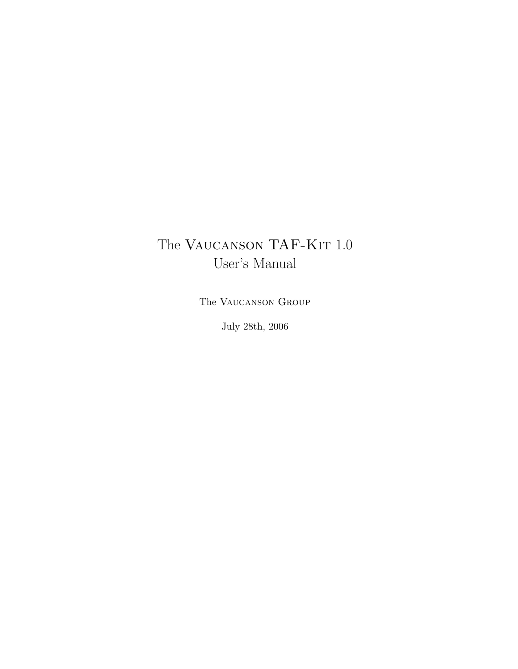## The VAUCANSON TAF-KIT 1.0 User's Manual

The Vaucanson Group

July 28th, 2006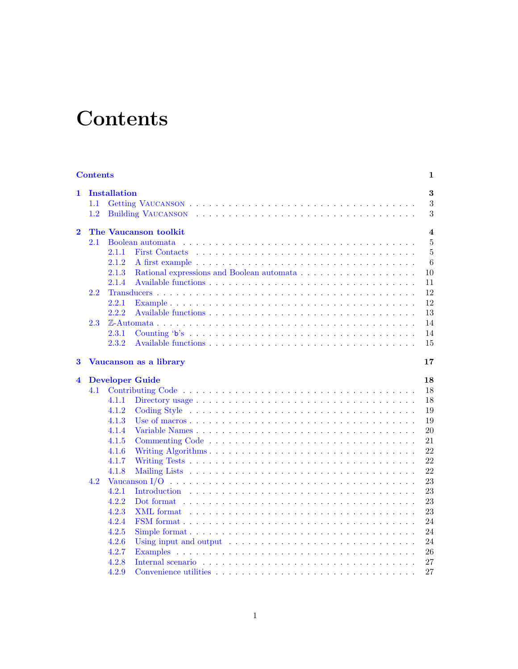# **Contents**

| <b>Contents</b><br>1    |                                   |                     |                                                                                                                       |                    |  |  |  |  |  |  |  |
|-------------------------|-----------------------------------|---------------------|-----------------------------------------------------------------------------------------------------------------------|--------------------|--|--|--|--|--|--|--|
| $\mathbf{1}$            | 1.1<br>1.2                        | <b>Installation</b> |                                                                                                                       | $\bf{3}$<br>3<br>3 |  |  |  |  |  |  |  |
| $\overline{\mathbf{2}}$ | The Vaucanson toolkit<br>$\bf{4}$ |                     |                                                                                                                       |                    |  |  |  |  |  |  |  |
|                         | 2.1                               |                     | Boolean automata                                                                                                      | $\overline{5}$     |  |  |  |  |  |  |  |
|                         |                                   | 2.1.1               | <b>First Contacts</b>                                                                                                 | $\overline{5}$     |  |  |  |  |  |  |  |
|                         |                                   | 2.1.2               |                                                                                                                       | 6                  |  |  |  |  |  |  |  |
|                         |                                   | 2.1.3               |                                                                                                                       | 10                 |  |  |  |  |  |  |  |
|                         |                                   | 2.1.4               |                                                                                                                       | 11                 |  |  |  |  |  |  |  |
|                         | 2.2                               |                     |                                                                                                                       | 12                 |  |  |  |  |  |  |  |
|                         |                                   | 2.2.1               |                                                                                                                       | 12                 |  |  |  |  |  |  |  |
|                         |                                   | 2.2.2               |                                                                                                                       | 13                 |  |  |  |  |  |  |  |
|                         | 2.3                               |                     |                                                                                                                       | 14                 |  |  |  |  |  |  |  |
|                         |                                   | 2.3.1               |                                                                                                                       | 14                 |  |  |  |  |  |  |  |
|                         |                                   | 2.3.2               |                                                                                                                       | 15                 |  |  |  |  |  |  |  |
| 3                       | Vaucanson as a library<br>17      |                     |                                                                                                                       |                    |  |  |  |  |  |  |  |
| $\overline{\mathbf{4}}$ |                                   |                     | <b>Developer Guide</b>                                                                                                | 18                 |  |  |  |  |  |  |  |
|                         | 4.1                               |                     |                                                                                                                       | 18                 |  |  |  |  |  |  |  |
|                         |                                   | 4.1.1               |                                                                                                                       | 18                 |  |  |  |  |  |  |  |
|                         |                                   | 4.1.2               |                                                                                                                       | 19                 |  |  |  |  |  |  |  |
|                         |                                   | 4.1.3               |                                                                                                                       | 19                 |  |  |  |  |  |  |  |
|                         |                                   | 4.1.4               |                                                                                                                       | 20                 |  |  |  |  |  |  |  |
|                         |                                   | 4.1.5               |                                                                                                                       | 21                 |  |  |  |  |  |  |  |
|                         |                                   | 4.1.6               |                                                                                                                       | 22                 |  |  |  |  |  |  |  |
|                         |                                   | 4.1.7               |                                                                                                                       | 22                 |  |  |  |  |  |  |  |
|                         |                                   | 4.1.8               |                                                                                                                       | 22                 |  |  |  |  |  |  |  |
|                         | 4.2                               |                     | Vaucanson I/O $\dots \dots \dots \dots \dots \dots \dots \dots \dots \dots \dots \dots \dots \dots \dots \dots \dots$ | 23                 |  |  |  |  |  |  |  |
|                         |                                   | 4.2.1               |                                                                                                                       | 23                 |  |  |  |  |  |  |  |
|                         |                                   | 4.2.2               |                                                                                                                       | 23                 |  |  |  |  |  |  |  |
|                         |                                   | 4.2.3               | XML format                                                                                                            | 23                 |  |  |  |  |  |  |  |
|                         |                                   | 4.2.4               |                                                                                                                       | 24                 |  |  |  |  |  |  |  |
|                         |                                   | 4.2.5               |                                                                                                                       | 24                 |  |  |  |  |  |  |  |
|                         |                                   | 4.2.6               | Using input and output $\dots \dots \dots \dots \dots \dots \dots \dots \dots \dots \dots \dots$                      | 24                 |  |  |  |  |  |  |  |
|                         |                                   | 4.2.7               |                                                                                                                       | 26                 |  |  |  |  |  |  |  |
|                         |                                   | 4.2.8               |                                                                                                                       | 27                 |  |  |  |  |  |  |  |
|                         |                                   | 4.2.9               |                                                                                                                       | 27                 |  |  |  |  |  |  |  |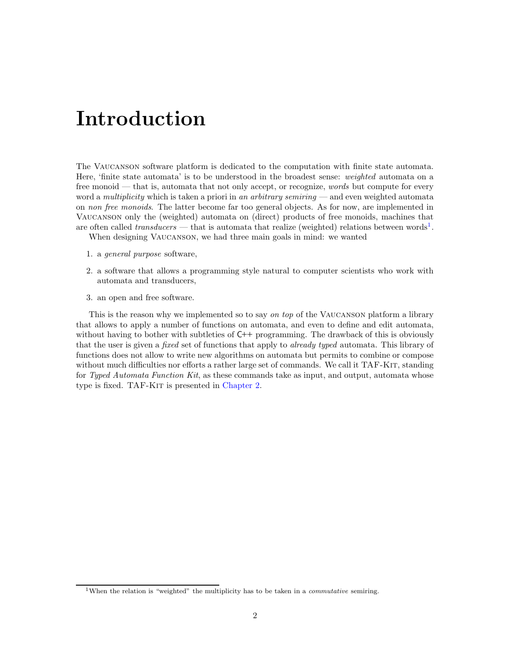# Introduction

The Vaucanson software platform is dedicated to the computation with finite state automata. Here, 'finite state automata' is to be understood in the broadest sense: weighted automata on a free monoid — that is, automata that not only accept, or recognize, *words* but compute for every word a multiplicity which is taken a priori in an arbitrary semiring — and even weighted automata on non free monoids. The latter become far too general objects. As for now, are implemented in Vaucanson only the (weighted) automata on (direct) products of free monoids, machines that are often called *transducers* — that is automata that realize (weighted) relations between words<sup>1</sup>.

When designing Vaucanson, we had three main goals in mind: we wanted

- 1. a general purpose software,
- 2. a software that allows a programming style natural to computer scientists who work with automata and transducers,
- 3. an open and free software.

This is the reason why we implemented so to say on top of the Vaucanson platform a library that allows to apply a number of functions on automata, and even to define and edit automata, without having to bother with subtleties of  $C^{++}$  programming. The drawback of this is obviously that the user is given a *fixed* set of functions that apply to *already typed* automata. This library of functions does not allow to write new algorithms on automata but permits to combine or compose without much difficulties nor efforts a rather large set of commands. We call it TAF-KIT, standing for Typed Automata Function Kit, as these commands take as input, and output, automata whose type is fixed. TAF-KIT is presented in Chapter 2.

<sup>&</sup>lt;sup>1</sup>When the relation is "weighted" the multiplicity has to be taken in a *commutative* semiring.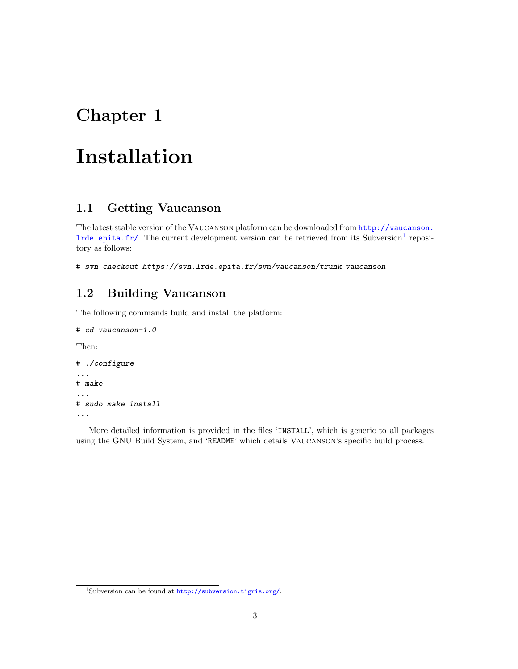## Chapter 1

# Installation

### 1.1 Getting Vaucanson

The latest stable version of the Vaucanson platform can be downloaded from http://vaucanson. lrde.epita.fr/. The current development version can be retrieved from its Subversion<sup>1</sup> repository as follows:

# svn checkout https://svn.lrde.epita.fr/svn/vaucanson/trunk vaucanson

### 1.2 Building Vaucanson

The following commands build and install the platform:

```
# cd vaucanson-1.0
```
Then:

```
# ./configure
...
# make
...
# sudo make install
...
```
More detailed information is provided in the files 'INSTALL', which is generic to all packages using the GNU Build System, and 'README' which details Vaucanson's specific build process.

<sup>1</sup>Subversion can be found at http://subversion.tigris.org/.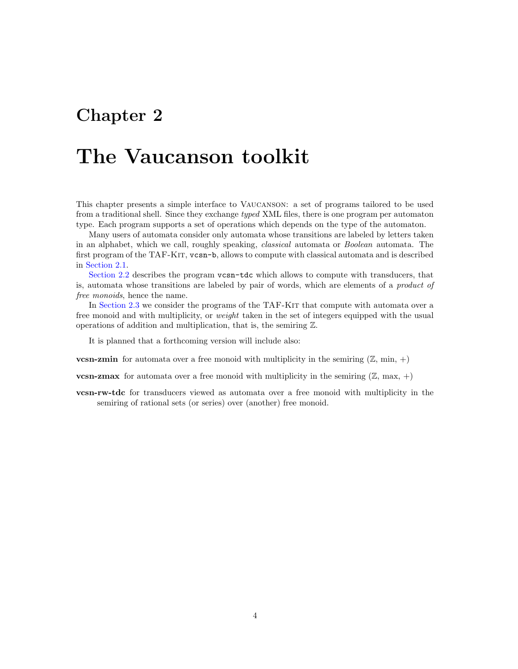## Chapter 2

# The Vaucanson toolkit

This chapter presents a simple interface to Vaucanson: a set of programs tailored to be used from a traditional shell. Since they exchange typed XML files, there is one program per automaton type. Each program supports a set of operations which depends on the type of the automaton.

Many users of automata consider only automata whose transitions are labeled by letters taken in an alphabet, which we call, roughly speaking, classical automata or Boolean automata. The first program of the TAF-Kit, vcsn-b, allows to compute with classical automata and is described in Section 2.1.

Section 2.2 describes the program vcsn-tdc which allows to compute with transducers, that is, automata whose transitions are labeled by pair of words, which are elements of a product of free monoids, hence the name.

In Section 2.3 we consider the programs of the TAF-KIT that compute with automata over a free monoid and with multiplicity, or *weight* taken in the set of integers equipped with the usual operations of addition and multiplication, that is, the semiring Z.

It is planned that a forthcoming version will include also:

**vcsn-zmin** for automata over a free monoid with multiplicity in the semiring  $(\mathbb{Z}, \text{min}, +)$ 

**vcsn-zmax** for automata over a free monoid with multiplicity in the semiring  $(\mathbb{Z}, \text{max}, +)$ 

vcsn-rw-tdc for transducers viewed as automata over a free monoid with multiplicity in the semiring of rational sets (or series) over (another) free monoid.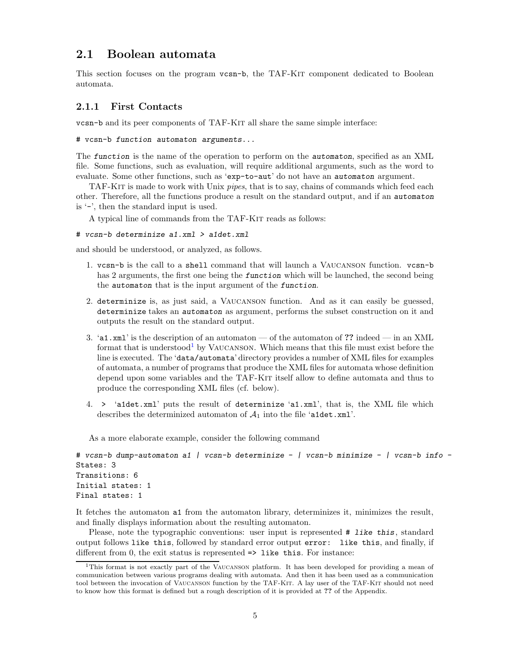### 2.1 Boolean automata

This section focuses on the program vcsn-b, the TAF-KIT component dedicated to Boolean automata.

### 2.1.1 First Contacts

vcsn-b and its peer components of TAF-Kit all share the same simple interface:

# vcsn-b function automaton arguments...

The function is the name of the operation to perform on the automaton, specified as an XML file. Some functions, such as evaluation, will require additional arguments, such as the word to evaluate. Some other functions, such as 'exp-to-aut' do not have an automaton argument.

TAF-Kit is made to work with Unix pipes, that is to say, chains of commands which feed each other. Therefore, all the functions produce a result on the standard output, and if an automaton is '-', then the standard input is used.

A typical line of commands from the TAF-Kit reads as follows:

```
# vcsn-b determinize a1.xml > a1det.xml
```
and should be understood, or analyzed, as follows.

- 1. vcsn-b is the call to a shell command that will launch a Vaucanson function. vcsn-b has 2 arguments, the first one being the *function* which will be launched, the second being the automaton that is the input argument of the function.
- 2. determinize is, as just said, a Vaucanson function. And as it can easily be guessed, determinize takes an automaton as argument, performs the subset construction on it and outputs the result on the standard output.
- 3. 'a1.xml' is the description of an automaton of the automaton of ?? indeed in an XML format that is understood<sup>1</sup> by VAUCANSON. Which means that this file must exist before the line is executed. The 'data/automata' directory provides a number of XML files for examples of automata, a number of programs that produce the XML files for automata whose definition depend upon some variables and the TAF-KIT itself allow to define automata and thus to produce the corresponding XML files (cf. below).
- 4. > 'a1det.xml' puts the result of determinize 'a1.xml', that is, the XML file which describes the determinized automaton of  $A_1$  into the file 'a1det.xml'.

As a more elaborate example, consider the following command

```
# vcsn-b dump-automaton a1 | vcsn-b determinize - | vcsn-b minimize - | vcsn-b info -
States: 3
Transitions: 6
Initial states: 1
Final states: 1
```
It fetches the automaton a1 from the automaton library, determinizes it, minimizes the result, and finally displays information about the resulting automaton.

Please, note the typographic conventions: user input is represented  $#$  like this, standard output follows like this, followed by standard error output error: like this, and finally, if different from  $0$ , the exit status is represented  $\Rightarrow$  like this. For instance:

<sup>1</sup>This format is not exactly part of the Vaucanson platform. It has been developed for providing a mean of communication between various programs dealing with automata. And then it has been used as a communication tool between the invocation of VAUCANSON function by the TAF-KIT. A lay user of the TAF-KIT should not need to know how this format is defined but a rough description of it is provided at ?? of the Appendix.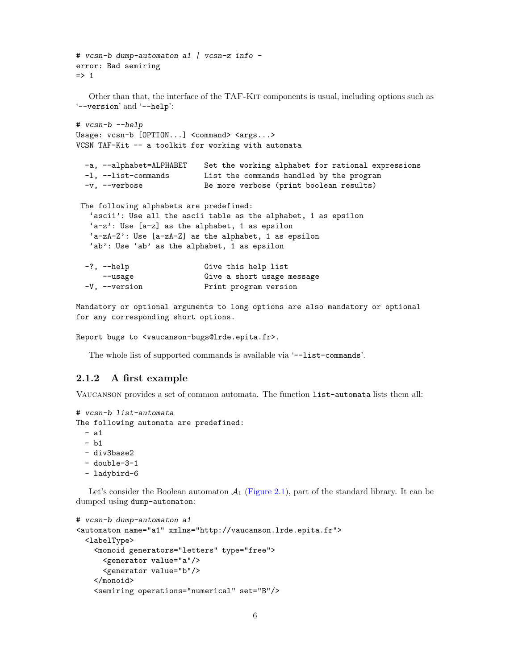```
# vcsn-b dump-automaton a1 | vcsn-z info -
error: Bad semiring
\Rightarrow 1
  Other than that, the interface of the TAF-Kit components is usual, including options such as
'--version' and '--help':
# vcsn-b --help
Usage: vcsn-b [OPTION...] <command> <args...>
VCSN TAF-Kit -- a toolkit for working with automata
 -a, --alphabet=ALPHABET Set the working alphabet for rational expressions
 -l, --list-commands List the commands handled by the program
 -v, --verbose Be more verbose (print boolean results)
The following alphabets are predefined:
   'ascii': Use all the ascii table as the alphabet, 1 as epsilon
   'a-z': Use [a-z] as the alphabet, 1 as epsilon
   'a-zA-Z': Use [a-zA-Z] as the alphabet, 1 as epsilon
   'ab': Use 'ab' as the alphabet, 1 as epsilon
 -?, --help Give this help list
     --usage Give a short usage message
 -V, --version Print program version
```
Mandatory or optional arguments to long options are also mandatory or optional for any corresponding short options.

```
Report bugs to <vaucanson-bugs@lrde.epita.fr>.
```
The whole list of supported commands is available via '--list-commands'.

### 2.1.2 A first example

Vaucanson provides a set of common automata. The function list-automata lists them all:

```
# vcsn-b list-automata
The following automata are predefined:
```
- a1

```
- b1
```

```
- div3base2
```

```
- double-3-1
```
- ladybird-6

Let's consider the Boolean automaton  $A_1$  (Figure 2.1), part of the standard library. It can be dumped using dump-automaton:

```
# vcsn-b dump-automaton a1
<automaton name="a1" xmlns="http://vaucanson.lrde.epita.fr">
 <labelType>
   <monoid generators="letters" type="free">
      <generator value="a"/>
      <generator value="b"/>
   </monoid>
   <semiring operations="numerical" set="B"/>
```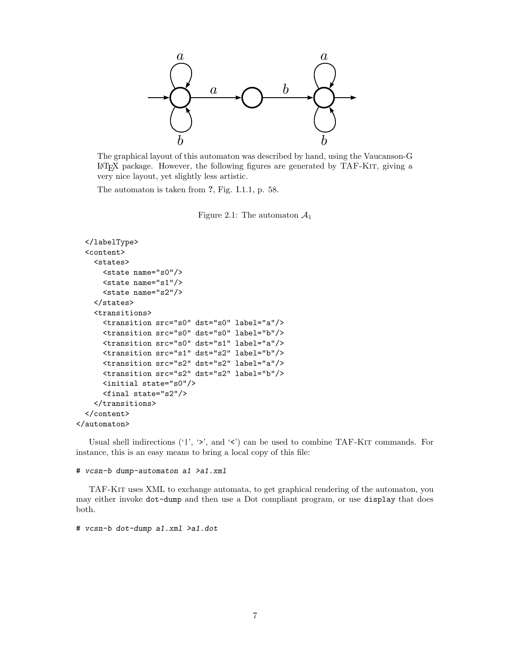

The graphical layout of this automaton was described by hand, using the Vaucanson-G LATEX package. However, the following figures are generated by TAF-Kit, giving a very nice layout, yet slightly less artistic.

The automaton is taken from ?, Fig. I.1.1, p. 58.

Figure 2.1: The automaton  $\mathcal{A}_1$ 

```
</labelType>
  <content>
    <states>
      <state name="s0"/>
      <state name="s1"/>
      <state name="s2"/>
    </states>
    <transitions>
      <transition src="s0" dst="s0" label="a"/>
      <transition src="s0" dst="s0" label="b"/>
      <transition src="s0" dst="s1" label="a"/>
      <transition src="s1" dst="s2" label="b"/>
      <transition src="s2" dst="s2" label="a"/>
      <transition src="s2" dst="s2" label="b"/>
      <initial state="s0"/>
      <final state="s2"/>
    </transitions>
  </content>
</automaton>
```
Usual shell indirections ('|', ' $>$ ', and ' $<$ ') can be used to combine TAF-KIT commands. For instance, this is an easy means to bring a local copy of this file:

#### # vcsn-b dump-automaton a1 >a1.xml

TAF-Kit uses XML to exchange automata, to get graphical rendering of the automaton, you may either invoke dot-dump and then use a Dot compliant program, or use display that does both.

# vcsn-b dot-dump a1.xml >a1.dot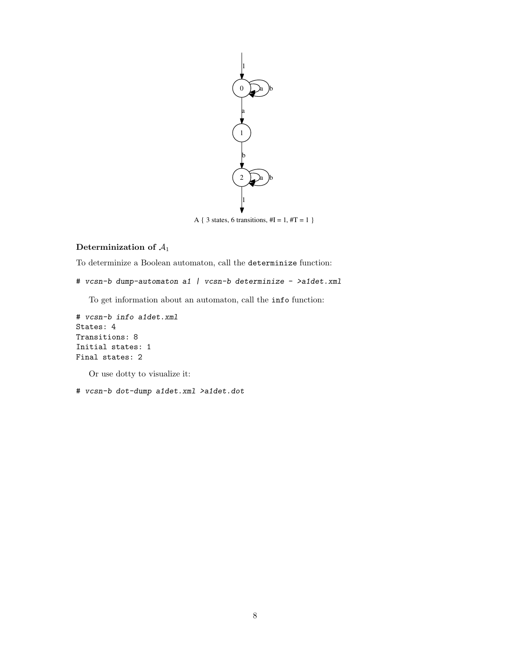

A { 3 states, 6 transitions,  $\#I = 1, \#T = 1$  }

### Determinization of  $A_1$

To determinize a Boolean automaton, call the determinize function:

# vcsn-b dump-automaton a1 | vcsn-b determinize - >a1det.xml

To get information about an automaton, call the info function:

```
# vcsn-b info a1det.xml
States: 4
Transitions: 8
Initial states: 1
Final states: 2
```
Or use dotty to visualize it:

# vcsn-b dot-dump a1det.xml >a1det.dot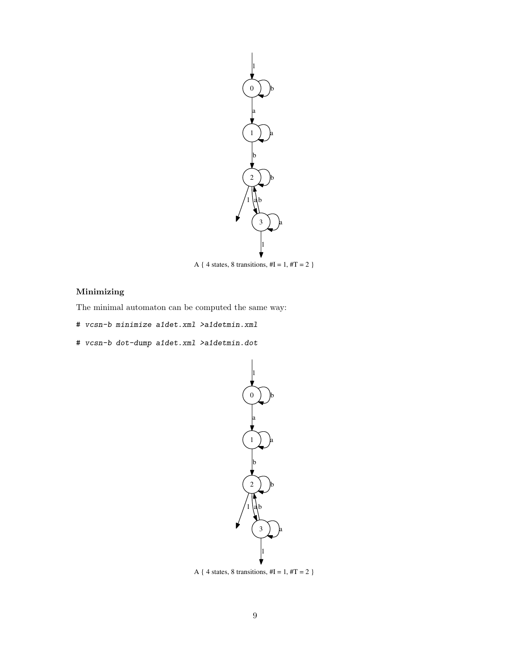

A { 4 states, 8 transitions,  $\#I = 1, \#T = 2$  }

### Minimizing

The minimal automaton can be computed the same way:

- # vcsn-b minimize a1det.xml >a1detmin.xml
- # vcsn-b dot-dump a1det.xml >a1detmin.dot



A { 4 states, 8 transitions,  $\#I = 1, \#T = 2$  }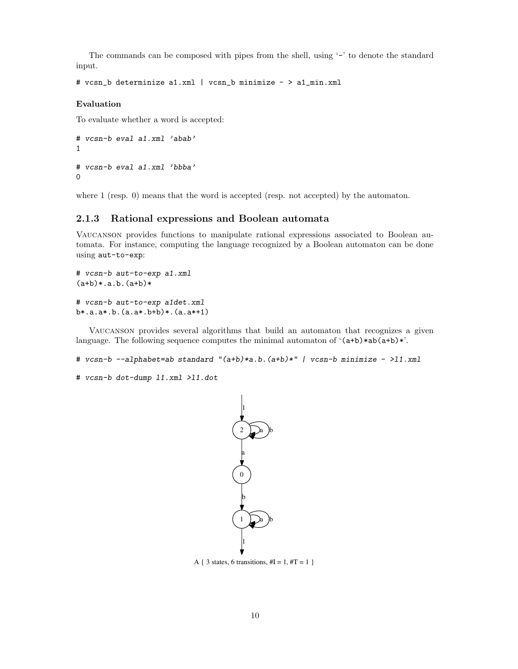The commands can be composed with pipes from the shell, using '-' to denote the standard input.

```
# vcsn_b determinize a1.xml | vcsn_b minimize - > a1_min.xml
```
### Evaluation

To evaluate whether a word is accepted:

```
# vcsn-b eval a1.xml 'abab'
1
# vcsn-b eval a1.xml 'bbba'
0
```
where 1 (resp. 0) means that the word is accepted (resp. not accepted) by the automaton.

### 2.1.3 Rational expressions and Boolean automata

Vaucanson provides functions to manipulate rational expressions associated to Boolean automata. For instance, computing the language recognized by a Boolean automaton can be done using aut-to-exp:

```
# vcsn-b aut-to-exp a1.xml
(a+b)*(a.b.(a+b)*# vcsn-b aut-to-exp a1det.xml
b*.a.a*.b.(a.a*.b+b)*.(a.a*+1)
```
Vaucanson provides several algorithms that build an automaton that recognizes a given language. The following sequence computes the minimal automaton of  $(a+b)*ab(a+b)*$ .

```
# vcsn-b --alphabet=ab standard "(a+b)*a.b.(a+b)*" | vcsn-b minimize - >11.xml
```
# vcsn-b dot-dump l1.xml >l1.dot



A { 3 states, 6 transitions,  $\#I = 1, \#T = 1$  }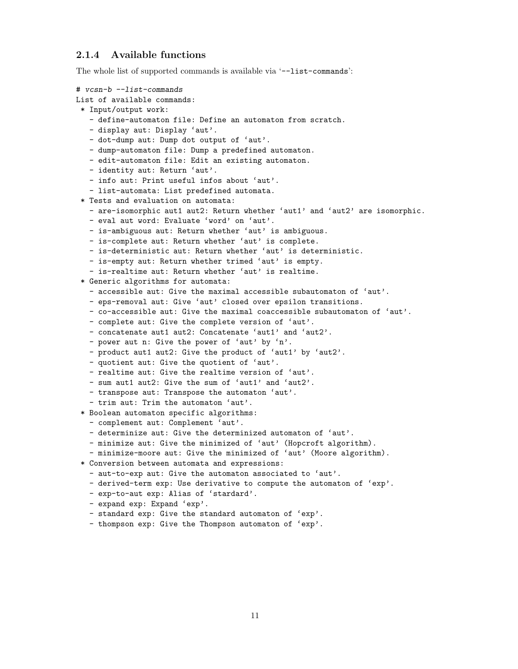### 2.1.4 Available functions

The whole list of supported commands is available via '--list-commands':

```
# vcsn-b --list-commands
List of available commands:
 * Input/output work:
  - define-automaton file: Define an automaton from scratch.
  - display aut: Display 'aut'.
  - dot-dump aut: Dump dot output of 'aut'.
  - dump-automaton file: Dump a predefined automaton.
   - edit-automaton file: Edit an existing automaton.
  - identity aut: Return 'aut'.
  - info aut: Print useful infos about 'aut'.
   - list-automata: List predefined automata.
 * Tests and evaluation on automata:
  - are-isomorphic aut1 aut2: Return whether 'aut1' and 'aut2' are isomorphic.
  - eval aut word: Evaluate 'word' on 'aut'.
   - is-ambiguous aut: Return whether 'aut' is ambiguous.
  - is-complete aut: Return whether 'aut' is complete.
  - is-deterministic aut: Return whether 'aut' is deterministic.
  - is-empty aut: Return whether trimed 'aut' is empty.
   - is-realtime aut: Return whether 'aut' is realtime.
 * Generic algorithms for automata:
  - accessible aut: Give the maximal accessible subautomaton of 'aut'.
  - eps-removal aut: Give 'aut' closed over epsilon transitions.
   - co-accessible aut: Give the maximal coaccessible subautomaton of 'aut'.
  - complete aut: Give the complete version of 'aut'.
  - concatenate aut1 aut2: Concatenate 'aut1' and 'aut2'.
   - power aut n: Give the power of 'aut' by 'n'.
   - product aut1 aut2: Give the product of 'aut1' by 'aut2'.
  - quotient aut: Give the quotient of 'aut'.
  - realtime aut: Give the realtime version of 'aut'.
   - sum aut1 aut2: Give the sum of 'aut1' and 'aut2'.
  - transpose aut: Transpose the automaton 'aut'.
   - trim aut: Trim the automaton 'aut'.
 * Boolean automaton specific algorithms:
   - complement aut: Complement 'aut'.
   - determinize aut: Give the determinized automaton of 'aut'.
  - minimize aut: Give the minimized of 'aut' (Hopcroft algorithm).
   - minimize-moore aut: Give the minimized of 'aut' (Moore algorithm).
 * Conversion between automata and expressions:
  - aut-to-exp aut: Give the automaton associated to 'aut'.
  - derived-term exp: Use derivative to compute the automaton of 'exp'.
  - exp-to-aut exp: Alias of 'stardard'.
   - expand exp: Expand 'exp'.
  - standard exp: Give the standard automaton of 'exp'.
   - thompson exp: Give the Thompson automaton of 'exp'.
```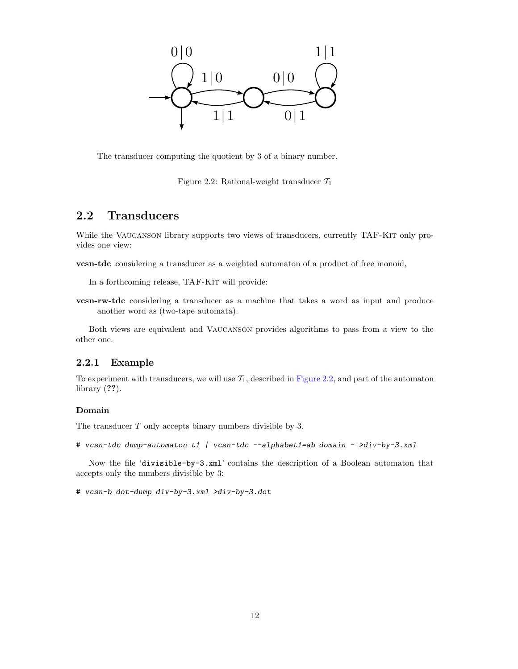

The transducer computing the quotient by 3 of a binary number.

Figure 2.2: Rational-weight transducer  $\mathcal{T}_1$ 

### 2.2 Transducers

While the VAUCANSON library supports two views of transducers, currently TAF-KIT only provides one view:

vcsn-tdc considering a transducer as a weighted automaton of a product of free monoid,

In a forthcoming release, TAF-KIT will provide:

vcsn-rw-tdc considering a transducer as a machine that takes a word as input and produce another word as (two-tape automata).

Both views are equivalent and Vaucanson provides algorithms to pass from a view to the other one.

### 2.2.1 Example

To experiment with transducers, we will use  $\mathcal{T}_1$ , described in Figure 2.2, and part of the automaton library (??).

#### Domain

The transducer T only accepts binary numbers divisible by 3.

```
# vcsn-tdc dump-automaton t1 | vcsn-tdc --alphabet1=ab domain - >div-by-3.xml
```
Now the file 'divisible-by-3.xml' contains the description of a Boolean automaton that accepts only the numbers divisible by 3:

# vcsn-b dot-dump div-by-3.xml >div-by-3.dot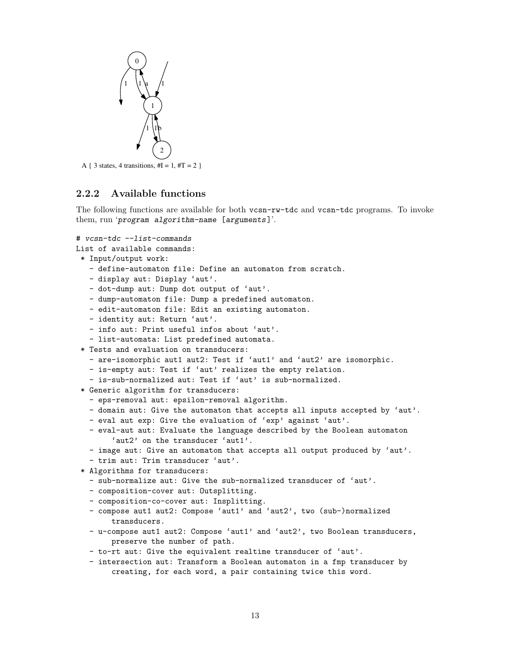

A { 3 states, 4 transitions,  $\#I = 1, \#T = 2$  }

### 2.2.2 Available functions

The following functions are available for both vcsn-rw-tdc and vcsn-tdc programs. To invoke them, run 'program algorithm-name [arguments]'.

```
# vcsn-tdc --list-commands
```

```
List of available commands:
```

```
* Input/output work:
```
- define-automaton file: Define an automaton from scratch.
- display aut: Display 'aut'.
- dot-dump aut: Dump dot output of 'aut'.
- dump-automaton file: Dump a predefined automaton.
- edit-automaton file: Edit an existing automaton.
- identity aut: Return 'aut'.
- info aut: Print useful infos about 'aut'.
- list-automata: List predefined automata.
- \* Tests and evaluation on transducers:
	- are-isomorphic aut1 aut2: Test if 'aut1' and 'aut2' are isomorphic.
	- is-empty aut: Test if 'aut' realizes the empty relation.
	- is-sub-normalized aut: Test if 'aut' is sub-normalized.
- \* Generic algorithm for transducers:
	- eps-removal aut: epsilon-removal algorithm.
	- domain aut: Give the automaton that accepts all inputs accepted by 'aut'.
	- eval aut exp: Give the evaluation of 'exp' against 'aut'.
	- eval-aut aut: Evaluate the language described by the Boolean automaton 'aut2' on the transducer 'aut1'.
	- image aut: Give an automaton that accepts all output produced by 'aut'.
- trim aut: Trim transducer 'aut'.
- \* Algorithms for transducers:
	- sub-normalize aut: Give the sub-normalized transducer of 'aut'.
	- composition-cover aut: Outsplitting.
	- composition-co-cover aut: Insplitting.
	- compose aut1 aut2: Compose 'aut1' and 'aut2', two (sub-)normalized transducers.
	- u-compose aut1 aut2: Compose 'aut1' and 'aut2', two Boolean transducers, preserve the number of path.
	- to-rt aut: Give the equivalent realtime transducer of 'aut'.
	- intersection aut: Transform a Boolean automaton in a fmp transducer by creating, for each word, a pair containing twice this word.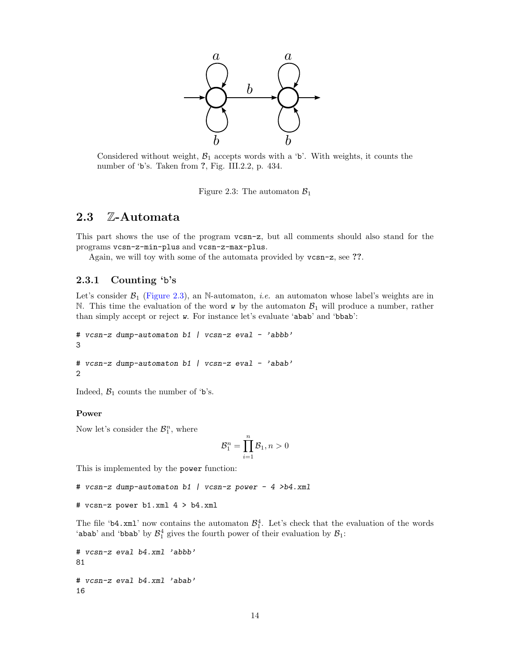

Considered without weight,  $\mathcal{B}_1$  accepts words with a 'b'. With weights, it counts the number of 'b's. Taken from ?, Fig. III.2.2, p. 434.

Figure 2.3: The automaton  $\mathcal{B}_1$ 

### 2.3 Z-Automata

This part shows the use of the program vcsn-z, but all comments should also stand for the programs vcsn-z-min-plus and vcsn-z-max-plus.

Again, we will toy with some of the automata provided by vcsn-z, see ??.

### 2.3.1 Counting 'b's

Let's consider  $\mathcal{B}_1$  (Figure 2.3), an N-automaton, *i.e.* an automaton whose label's weights are in N. This time the evaluation of the word  $\bf{w}$  by the automaton  $\mathcal{B}_1$  will produce a number, rather than simply accept or reject w. For instance let's evaluate 'abab' and 'bbab':

```
# vcsn-z dump-automaton b1 | vcsn-z eval - 'abbb'
3
# vcsn-z dump-automaton b1 | vcsn-z eval - 'abab'
```
2

Indeed,  $\mathcal{B}_1$  counts the number of 'b's.

### Power

Now let's consider the  $\mathcal{B}_1^n$ , where

$$
\mathcal{B}_1^n = \prod_{i=1}^n \mathcal{B}_1, n > 0
$$

This is implemented by the power function:

# vcsn-z dump-automaton b1 | vcsn-z power - 4 >b4.xml

# vcsn-z power b1.xml 4 > b4.xml

The file 'b4.xml' now contains the automaton  $\mathcal{B}_1^4$ . Let's check that the evaluation of the words 'abab' and 'bbab' by  $\mathcal{B}_1^4$  gives the fourth power of their evaluation by  $\mathcal{B}_1$ :

```
# vcsn-z eval b4.xml 'abbb'
81
# vcsn-z eval b4.xml 'abab'
16
```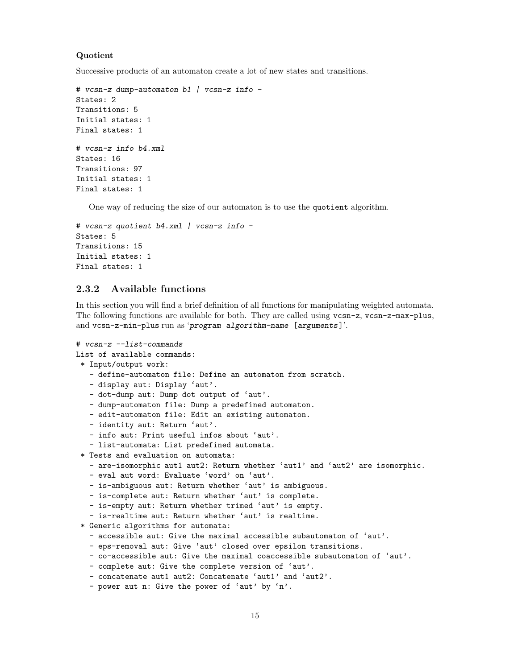### Quotient

Successive products of an automaton create a lot of new states and transitions.

```
# vcsn-z dump-automaton b1 | vcsn-z info -
States: 2
Transitions: 5
Initial states: 1
Final states: 1
# vcsn-z info b4.xml
States: 16
Transitions: 97
Initial states: 1
Final states: 1
```
One way of reducing the size of our automaton is to use the quotient algorithm.

```
# vcsn-z quotient b4.xml | vcsn-z info -
States: 5
Transitions: 15
Initial states: 1
Final states: 1
```
### 2.3.2 Available functions

In this section you will find a brief definition of all functions for manipulating weighted automata. The following functions are available for both. They are called using vcsn-z, vcsn-z-max-plus, and vcsn-z-min-plus run as 'program algorithm-name [arguments]'.

```
# vcsn-z --list-commands
List of available commands:
 * Input/output work:
   - define-automaton file: Define an automaton from scratch.
  - display aut: Display 'aut'.
  - dot-dump aut: Dump dot output of 'aut'.
  - dump-automaton file: Dump a predefined automaton.
  - edit-automaton file: Edit an existing automaton.
  - identity aut: Return 'aut'.
  - info aut: Print useful infos about 'aut'.
   - list-automata: List predefined automata.
 * Tests and evaluation on automata:
  - are-isomorphic aut1 aut2: Return whether 'aut1' and 'aut2' are isomorphic.
  - eval aut word: Evaluate 'word' on 'aut'.
   - is-ambiguous aut: Return whether 'aut' is ambiguous.
  - is-complete aut: Return whether 'aut' is complete.
  - is-empty aut: Return whether trimed 'aut' is empty.
   - is-realtime aut: Return whether 'aut' is realtime.
 * Generic algorithms for automata:
  - accessible aut: Give the maximal accessible subautomaton of 'aut'.
  - eps-removal aut: Give 'aut' closed over epsilon transitions.
  - co-accessible aut: Give the maximal coaccessible subautomaton of 'aut'.
  - complete aut: Give the complete version of 'aut'.
  - concatenate aut1 aut2: Concatenate 'aut1' and 'aut2'.
   - power aut n: Give the power of 'aut' by 'n'.
```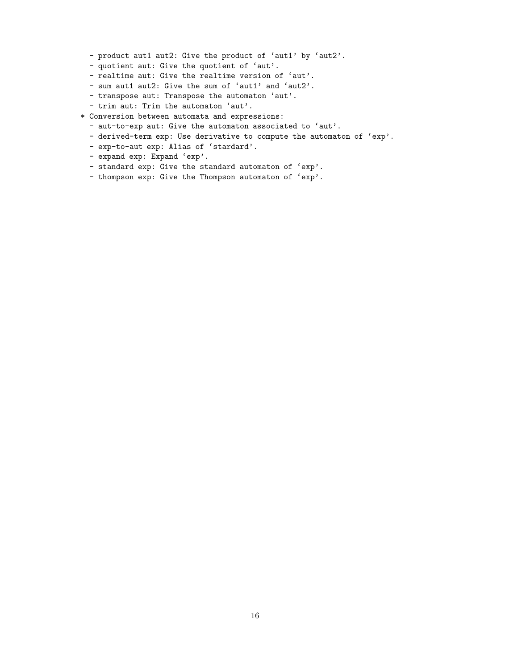- product aut1 aut2: Give the product of 'aut1' by 'aut2'.
- quotient aut: Give the quotient of 'aut'.
- realtime aut: Give the realtime version of 'aut'.
- sum aut1 aut2: Give the sum of 'aut1' and 'aut2'.
- transpose aut: Transpose the automaton 'aut'.
- trim aut: Trim the automaton 'aut'.
- \* Conversion between automata and expressions:
	- aut-to-exp aut: Give the automaton associated to 'aut'.
	- derived-term exp: Use derivative to compute the automaton of 'exp'.
	- exp-to-aut exp: Alias of 'stardard'.
	- expand exp: Expand 'exp'.
	- standard exp: Give the standard automaton of 'exp'.
	- thompson exp: Give the Thompson automaton of 'exp'.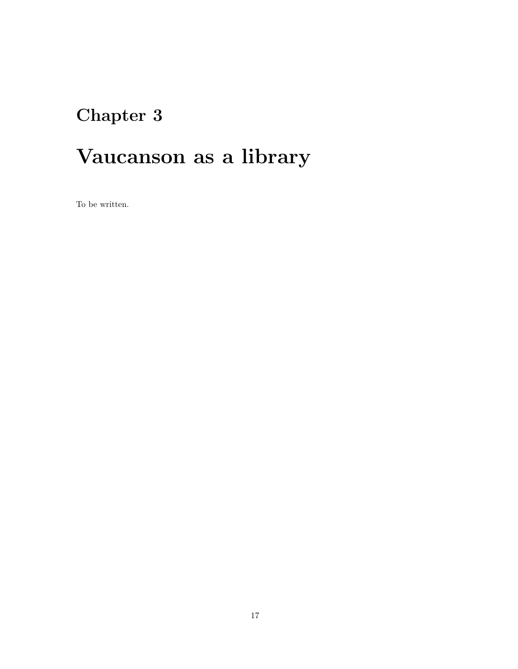# Chapter 3

# Vaucanson as a library

To be written.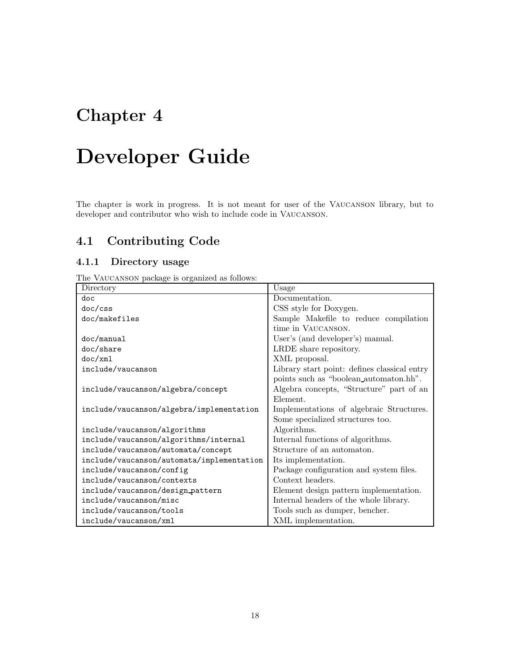## Chapter 4

# Developer Guide

The chapter is work in progress. It is not meant for user of the Vaucanson library, but to developer and contributor who wish to include code in Vaucanson.

### 4.1 Contributing Code

### 4.1.1 Directory usage

The Vaucanson package is organized as follows:

| Directory                                 | Usage                                        |
|-------------------------------------------|----------------------------------------------|
| doc                                       | Documentation.                               |
| doc/css                                   | CSS style for Doxygen.                       |
| doc/makefiles                             | Sample Makefile to reduce compilation        |
|                                           | time in VAUCANSON.                           |
| doc/manual                                | User's (and developer's) manual.             |
| doc/share                                 | LRDE share repository.                       |
| doc(xm1)                                  | XML proposal.                                |
| include/vaucanson                         | Library start point: defines classical entry |
|                                           | points such as "boolean automaton.hh".       |
| include/vaucanson/algebra/concept         | Algebra concepts, "Structure" part of an     |
|                                           | Element.                                     |
| include/vaucanson/algebra/implementation  | Implementations of algebraic Structures.     |
|                                           | Some specialized structures too.             |
| include/vaucanson/algorithms              | Algorithms.                                  |
| include/vaucanson/algorithms/internal     | Internal functions of algorithms.            |
| include/vaucanson/automata/concept        | Structure of an automaton.                   |
| include/vaucanson/automata/implementation | Its implementation.                          |
| include/vaucanson/config                  | Package configuration and system files.      |
| include/vaucanson/contexts                | Context headers.                             |
| include/vaucanson/design_pattern          | Element design pattern implementation.       |
| include/vaucanson/misc                    | Internal headers of the whole library.       |
| include/vaucanson/tools                   | Tools such as dumper, bencher.               |
| include/vaucanson/xml                     | XML implementation.                          |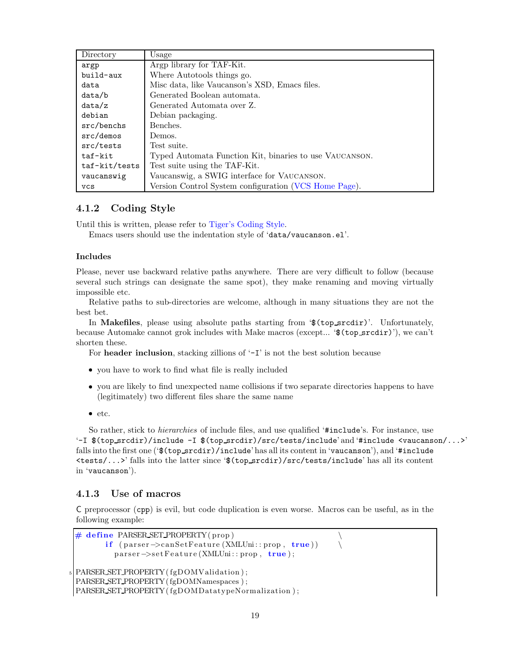| Directory     | Usage                                                   |
|---------------|---------------------------------------------------------|
| argp          | Argp library for TAF-Kit.                               |
| build-aux     | Where Autotools things go.                              |
| data          | Misc data, like Vaucanson's XSD, Emacs files.           |
| data/b        | Generated Boolean automata.                             |
| data/z        | Generated Automata over Z.                              |
| debian        | Debian packaging.                                       |
| src/benchs    | Benches.                                                |
| src/demos     | Demos.                                                  |
| src/tests     | Test suite.                                             |
| taf-kit       | Typed Automata Function Kit, binaries to use VAUCANSON. |
| taf-kit/tests | Test suite using the TAF-Kit.                           |
| vaucanswig    | Vaucanswig, a SWIG interface for VAUCANSON.             |
| <b>VCS</b>    | Version Control System configuration (VCS Home Page).   |

### 4.1.2 Coding Style

Until this is written, please refer to Tiger's Coding Style.

Emacs users should use the indentation style of 'data/vaucanson.el'.

#### Includes

Please, never use backward relative paths anywhere. There are very difficult to follow (because several such strings can designate the same spot), they make renaming and moving virtually impossible etc.

Relative paths to sub-directories are welcome, although in many situations they are not the best bet.

In Makefiles, please using absolute paths starting from '\$(top\_srcdir)'. Unfortunately, because Automake cannot grok includes with Make macros (except... '\$(top\_srcdir)'), we can't shorten these.

For header inclusion, stacking zillions of  $\mathcal{I}$  is not the best solution because

- you have to work to find what file is really included
- you are likely to find unexpected name collisions if two separate directories happens to have (legitimately) two different files share the same name
- $etc.$

So rather, stick to *hierarchies* of include files, and use qualified '#include's. For instance, use '-I (top srcdir)/include -I (top srcdir)/src/tests/include' and '#include <vaucanson/...>' falls into the first one  $(`\$  (top\_srcdir)/include' has all its content in 'vaucanson'), and '#include <tests/...>' falls into the latter since ' (top srcdir)/src/tests/include' has all its content in 'vaucanson').

### 4.1.3 Use of macros

C preprocessor (cpp) is evil, but code duplication is even worse. Macros can be useful, as in the following example:

```
# define PARSER_SET_PROPERTY(prop)<br>if (parser->canSetFeature(XMLUni::prop, true))
         if ( parser ->canSetFeature (XMLUni:: prop, true ))
           parser –>setFeature (XMLUni:: prop, true);
5 PARSER SET PROPERTY( fgDOMValidation ) ;
 PARSER SET PROPERTY( fgDOMNamespaces ) ;
PARSER SET PROPERTY( fgDOMDatatypeNormalization ) ;
```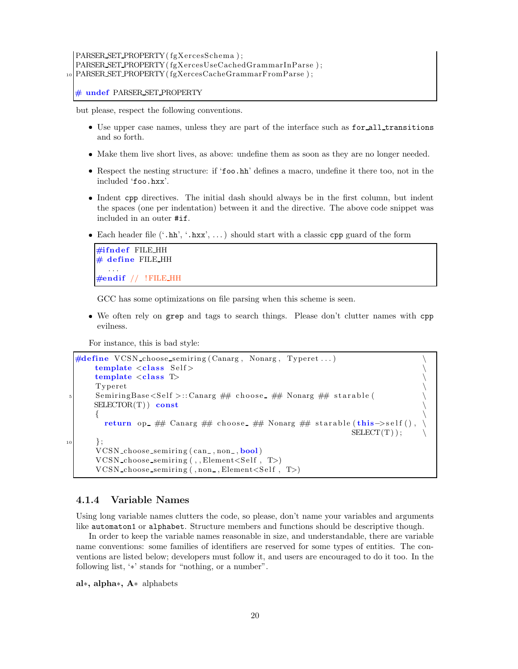### PARSER SET PROPERTY( fgXercesSchema ) ; PARSER SET PROPERTY( fgXercesUseCachedGrammarInParse ) ; <sup>10</sup> PARSER SET PROPERTY( fgXercesCacheGrammarFromParse ) ;

# undef PARSER SET PROPERTY

but please, respect the following conventions.

- Use upper case names, unless they are part of the interface such as for all transitions and so forth.
- Make them live short lives, as above: undefine them as soon as they are no longer needed.
- Respect the nesting structure: if 'foo.hh' defines a macro, undefine it there too, not in the included 'foo.hxx'.
- Indent cpp directives. The initial dash should always be in the first column, but indent the spaces (one per indentation) between it and the directive. The above code snippet was included in an outer #if.
- Each header file  $($ '.hh', '.hxx', ...) should start with a classic cpp guard of the form

```
#ifndef FILE HH
# define FILE HH
  . . .
\#endif // !FILE_HH
```
GCC has some optimizations on file parsing when this scheme is seen.

 We often rely on grep and tags to search things. Please don't clutter names with cpp evilness.

For instance, this is bad style:

```
\#define VCSN_choose_semiring (Canarg, Nonarg, Typeret...)
         template < class Self>
         template \langle \text{class} \rangle<br>Typeret
         Typeret \
 5 SemiringBase<Self>::Canarg ## choose_ ## Nonarg ## starable(
        SELECTOR(T)) const
         \left\{ \begin{array}{ccc} 1 & 0 & 0 \\ 0 & 0 & 0 \\ 0 & 0 & 0 \\ 0 & 0 & 0 \\ 0 & 0 & 0 \\ 0 & 0 & 0 \\ 0 & 0 & 0 \\ 0 & 0 & 0 \\ 0 & 0 & 0 \\ 0 & 0 & 0 \\ 0 & 0 & 0 \\ 0 & 0 & 0 \\ 0 & 0 & 0 & 0 \\ 0 & 0 & 0 & 0 \\ 0 & 0 & 0 & 0 \\ 0 & 0 & 0 & 0 & 0 \\ 0 & 0 & 0 & 0 & 0 \\ 0 & 0 & 0 & 0 & 0 \\ 0 & 0 & 0 & 0 & 0 \\ 0 & 0return op ## Canarg ## choose ## Nonarg ## starable(this->self(), \
                                                                                          SELECT(T) );
10 \quad \frac{\phantom{0000000}}{10}VCSN_choose_semiring (can_, non_, bool)
         VCSN choose semiring ( , , Element<Se lf , T>)
         VCSN choose semiring ( , non, Element < Self , T> )
```
### 4.1.4 Variable Names

Using long variable names clutters the code, so please, don't name your variables and arguments like automaton1 or alphabet. Structure members and functions should be descriptive though.

In order to keep the variable names reasonable in size, and understandable, there are variable name conventions: some families of identifiers are reserved for some types of entities. The conventions are listed below; developers must follow it, and users are encouraged to do it too. In the following list, '∗' stands for "nothing, or a number".

al∗, alpha∗, A∗ alphabets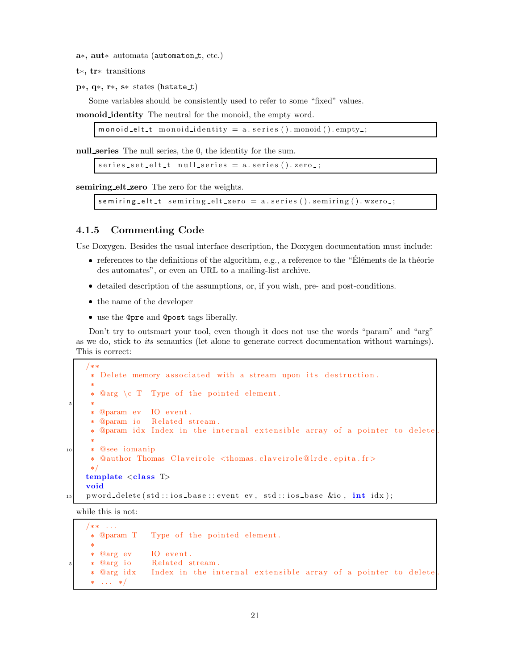- a∗, aut∗ automata (automaton t, etc.)
- t∗, tr∗ transitions
- p∗, q∗, r∗, s∗ states (hstate t)

Some variables should be consistently used to refer to some "fixed" values.

monoid identity The neutral for the monoid, the empty word.

monoid elt t monoid identity =  $a$ . series (). monoid (). empty -;

null series The null series, the 0, the identity for the sum.

```
series_setelt_t null-series = a.series(). zero.;
```
semiring elt zero The zero for the weights.

```
semiring elt_t semiring elt_zero = a. series (). semiring (). wzero =;
```
### 4.1.5 Commenting Code

Use Doxygen. Besides the usual interface description, the Doxygen documentation must include:

- references to the definitions of the algorithm, e.g., a reference to the "Éléments de la théorie des automates", or even an URL to a mailing-list archive.
- detailed description of the assumptions, or, if you wish, pre- and post-conditions.
- the name of the developer
- use the @pre and @post tags liberally.

Don't try to outsmart your tool, even though it does not use the words "param" and "arg" as we do, stick to its semantics (let alone to generate correct documentation without warnings). This is correct:

```
/*** Delete memory associated with a stream upon its destruction.
      @arg \ c T Type of the pointed element.
5 -
     -
 @param ev IO event . * @param io Related stream.
     * @param idx Index in the internal extensible array of a pointer to delete.
10 @see iomanip * @author Thomas Claveirole <thomas.claveirole@lrde.epita.fr>
     \ast /
    template < class T>
    void
    pword_delete(std::ios_base::event ev, std::ios_base &io, int idx);
```
while this is not:

 $/**$  ... \* @param T Type of the pointed element. \* @arg ev IO event. 5 -\* @arg io Related stream. \* @arg idx Index in the internal extensible array of a pointer to delete  $*$  ...  $*$  /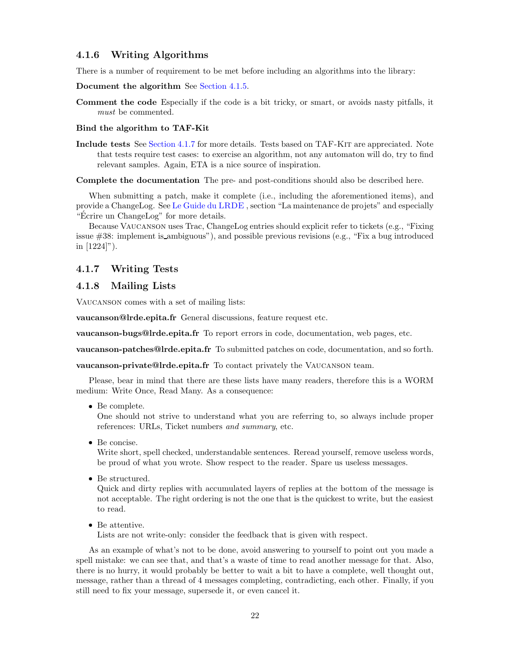### 4.1.6 Writing Algorithms

There is a number of requirement to be met before including an algorithms into the library:

Document the algorithm See Section 4.1.5.

Comment the code Especially if the code is a bit tricky, or smart, or avoids nasty pitfalls, it must be commented.

#### Bind the algorithm to TAF-Kit

Include tests See Section 4.1.7 for more details. Tests based on TAF-Kit are appreciated. Note that tests require test cases: to exercise an algorithm, not any automaton will do, try to find relevant samples. Again, ETA is a nice source of inspiration.

Complete the documentation The pre- and post-conditions should also be described here.

When submitting a patch, make it complete (i.e., including the aforementioned items), and provide a ChangeLog. See Le Guide du LRDE , section "La maintenance de projets" and especially "Ecrire un ChangeLog" for more details.

Because Vaucanson uses Trac, ChangeLog entries should explicit refer to tickets (e.g., "Fixing issue #38: implement is ambiguous"), and possible previous revisions (e.g., "Fix a bug introduced in [1224]").

### 4.1.7 Writing Tests

### 4.1.8 Mailing Lists

Vaucanson comes with a set of mailing lists:

vaucanson@lrde.epita.fr General discussions, feature request etc.

vaucanson-bugs@lrde.epita.fr To report errors in code, documentation, web pages, etc.

vaucanson-patches@lrde.epita.fr To submitted patches on code, documentation, and so forth.

vaucanson-private@lrde.epita.fr To contact privately the Vaucanson team.

Please, bear in mind that there are these lists have many readers, therefore this is a WORM medium: Write Once, Read Many. As a consequence:

Be complete.

One should not strive to understand what you are referring to, so always include proper references: URLs, Ticket numbers and summary, etc.

Be concise.

Write short, spell checked, understandable sentences. Reread yourself, remove useless words, be proud of what you wrote. Show respect to the reader. Spare us useless messages.

Be structured.

Quick and dirty replies with accumulated layers of replies at the bottom of the message is not acceptable. The right ordering is not the one that is the quickest to write, but the easiest to read.

Be attentive.

Lists are not write-only: consider the feedback that is given with respect.

As an example of what's not to be done, avoid answering to yourself to point out you made a spell mistake: we can see that, and that's a waste of time to read another message for that. Also, there is no hurry, it would probably be better to wait a bit to have a complete, well thought out, message, rather than a thread of 4 messages completing, contradicting, each other. Finally, if you still need to fix your message, supersede it, or even cancel it.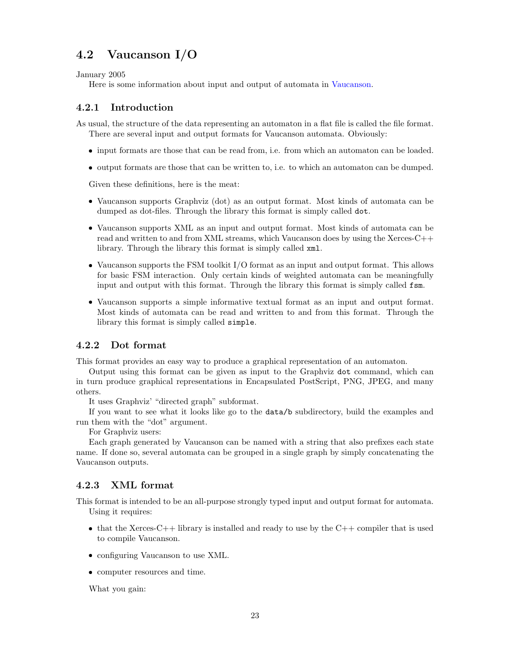### 4.2 Vaucanson I/O

January 2005

Here is some information about input and output of automata in Vaucanson.

### 4.2.1 Introduction

As usual, the structure of the data representing an automaton in a flat file is called the file format. There are several input and output formats for Vaucanson automata. Obviously:

- input formats are those that can be read from, i.e. from which an automaton can be loaded.
- output formats are those that can be written to, i.e. to which an automaton can be dumped.

Given these definitions, here is the meat:

- Vaucanson supports Graphviz (dot) as an output format. Most kinds of automata can be dumped as dot-files. Through the library this format is simply called dot.
- Vaucanson supports XML as an input and output format. Most kinds of automata can be read and written to and from XML streams, which Vaucanson does by using the Xerces-C++ library. Through the library this format is simply called xml.
- Vaucanson supports the FSM toolkit I/O format as an input and output format. This allows for basic FSM interaction. Only certain kinds of weighted automata can be meaningfully input and output with this format. Through the library this format is simply called fsm.
- Vaucanson supports a simple informative textual format as an input and output format. Most kinds of automata can be read and written to and from this format. Through the library this format is simply called simple.

### 4.2.2 Dot format

This format provides an easy way to produce a graphical representation of an automaton.

Output using this format can be given as input to the Graphviz dot command, which can in turn produce graphical representations in Encapsulated PostScript, PNG, JPEG, and many others.

It uses Graphviz' "directed graph" subformat.

If you want to see what it looks like go to the data/b subdirectory, build the examples and run them with the "dot" argument.

For Graphviz users:

Each graph generated by Vaucanson can be named with a string that also prefixes each state name. If done so, several automata can be grouped in a single graph by simply concatenating the Vaucanson outputs.

### 4.2.3 XML format

This format is intended to be an all-purpose strongly typed input and output format for automata. Using it requires:

- that the Xerces-C++ library is installed and ready to use by the  $C++$  compiler that is used to compile Vaucanson.
- configuring Vaucanson to use XML.
- computer resources and time.

What you gain: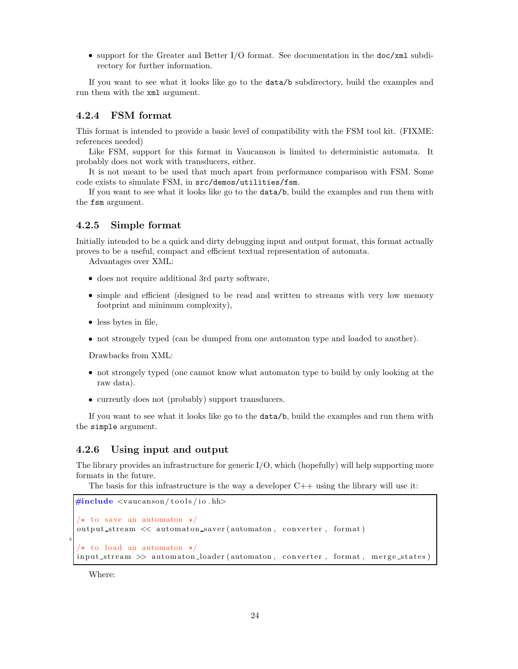support for the Greater and Better I/O format. See documentation in the doc/xml subdirectory for further information.

If you want to see what it looks like go to the data/b subdirectory, build the examples and run them with the xml argument.

### 4.2.4 FSM format

This format is intended to provide a basic level of compatibility with the FSM tool kit. (FIXME: references needed)

Like FSM, support for this format in Vaucanson is limited to deterministic automata. It probably does not work with transducers, either.

It is not meant to be used that much apart from performance comparison with FSM. Some code exists to simulate FSM, in src/demos/utilities/fsm.

If you want to see what it looks like go to the data/b, build the examples and run them with the fsm argument.

### 4.2.5 Simple format

Initially intended to be a quick and dirty debugging input and output format, this format actually proves to be a useful, compact and efficient textual representation of automata.

Advantages over XML:

- does not require additional 3rd party software,
- simple and efficient (designed to be read and written to streams with very low memory footprint and minimum complexity),
- less bytes in file,
- not strongely typed (can be dumped from one automaton type and loaded to another).

Drawbacks from XML:

- not strongely typed (one cannot know what automaton type to build by only looking at the raw data).
- currently does not (probably) support transducers.

If you want to see what it looks like go to the data/b, build the examples and run them with the simple argument.

### 4.2.6 Using input and output

The library provides an infrastructure for generic  $I/O$ , which (hopefully) will help supporting more formats in the future.

The basis for this infrastructure is the way a developer  $C++$  using the library will use it:

```
#include <vaucanson/tools/io.hh>
/* to save an automaton */output_stream << automaton_saver(automaton, converter, format)
/* to load an automaton */input_stream >> automaton_loader (automaton, converter, format, merge_states)
```
Where:

5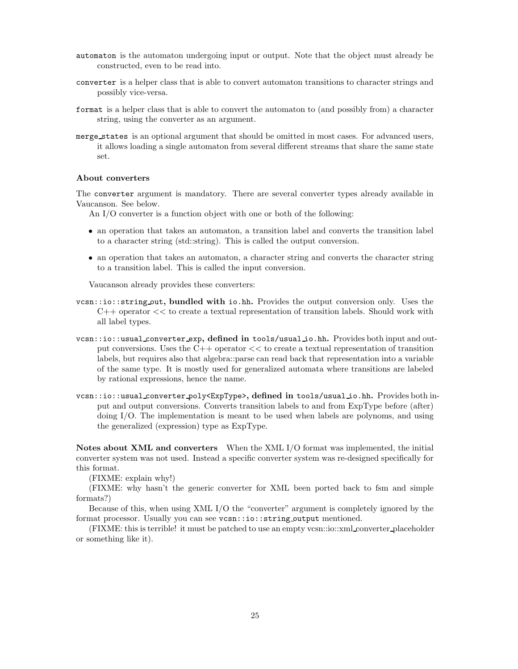- automaton is the automaton undergoing input or output. Note that the object must already be constructed, even to be read into.
- converter is a helper class that is able to convert automaton transitions to character strings and possibly vice-versa.
- format is a helper class that is able to convert the automaton to (and possibly from) a character string, using the converter as an argument.
- merge states is an optional argument that should be omitted in most cases. For advanced users, it allows loading a single automaton from several different streams that share the same state set.

#### About converters

The converter argument is mandatory. There are several converter types already available in Vaucanson. See below.

An I/O converter is a function object with one or both of the following:

- an operation that takes an automaton, a transition label and converts the transition label to a character string (std::string). This is called the output conversion.
- an operation that takes an automaton, a character string and converts the character string to a transition label. This is called the input conversion.

Vaucanson already provides these converters:

- vcsn::io::string out, bundled with io.hh. Provides the output conversion only. Uses the C++ operator << to create a textual representation of transition labels. Should work with all label types.
- vcsn::io::usual converter exp, defined in tools/usual io.hh. Provides both input and output conversions. Uses the C++ operator << to create a textual representation of transition labels, but requires also that algebra::parse can read back that representation into a variable of the same type. It is mostly used for generalized automata where transitions are labeled by rational expressions, hence the name.
- vcsn::io::usual converter poly<ExpType>, defined in tools/usual io.hh. Provides both input and output conversions. Converts transition labels to and from ExpType before (after) doing I/O. The implementation is meant to be used when labels are polynoms, and using the generalized (expression) type as ExpType.

Notes about XML and converters When the XML I/O format was implemented, the initial converter system was not used. Instead a specific converter system was re-designed specifically for this format.

(FIXME: explain why!)

(FIXME: why hasn't the generic converter for XML been ported back to fsm and simple formats?)

Because of this, when using XML I/O the "converter" argument is completely ignored by the format processor. Usually you can see vcsn::io::string output mentioned.

(FIXME: this is terrible! it must be patched to use an empty vcsn::io::xml converter placeholder or something like it).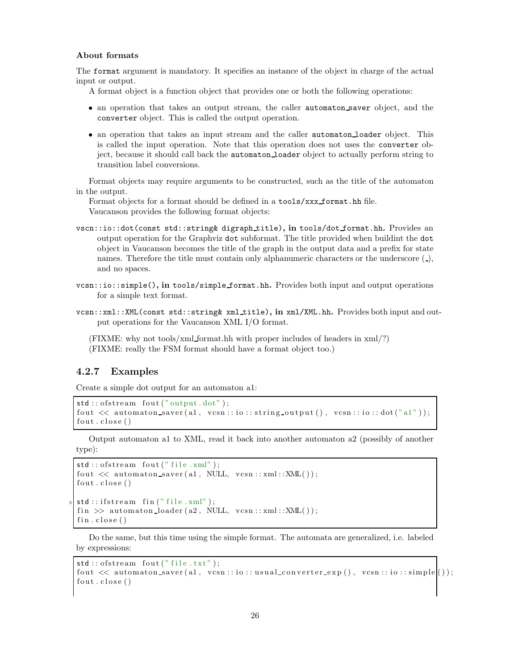#### About formats

The format argument is mandatory. It specifies an instance of the object in charge of the actual input or output.

- A format object is a function object that provides one or both the following operations:
- an operation that takes an output stream, the caller automaton saver object, and the converter object. This is called the output operation.
- an operation that takes an input stream and the caller automaton loader object. This is called the input operation. Note that this operation does not uses the converter object, because it should call back the automaton loader object to actually perform string to transition label conversions.

Format objects may require arguments to be constructed, such as the title of the automaton in the output.

Format objects for a format should be defined in a tools/xxx\_format.hh file. Vaucanson provides the following format objects:

- vscn::io::dot(const std::string& digraph title), in tools/dot format.hh. Provides an output operation for the Graphviz dot subformat. The title provided when buildint the dot object in Vaucanson becomes the title of the graph in the output data and a prefix for state names. Therefore the title must contain only alphanumeric characters or the underscore  $($ ), and no spaces.
- $vcsn::isimple(),$  in tools/simple format.hh. Provides both input and output operations for a simple text format.
- vcsn::xml::XML(const std::string& xml title), in xml/XML.hh. Provides both input and output operations for the Vaucanson XML I/O format.

(FIXME: why not tools/xml format.hh with proper includes of headers in xml/?) (FIXME: really the FSM format should have a format object too.)

### 4.2.7 Examples

Create a simple dot output for an automaton a1:

```
std::ofstream~four("output.dot");fout \ll automaton_saver(a1, vcsn::io::string_output(), vcsn::io::dot("a1"));
four.close()
```
Output automaton a1 to XML, read it back into another automaton a2 (possibly of another type):

```
std::ofstream~four('"file.xml");
fout \ll automaton saver (a1, NULL, vcsn::xml::XML());
four.close()\mathsf{std} :: \mathsf{ifstream}\ \mathsf{fin}\ (\text{"file.xml"}\ );
fin \gg automaton\_loader(a2, NULL, vcsn::xml::XML());
fin.close()
```
Do the same, but this time using the simple format. The automata are generalized, i.e. labeled by expressions:

```
std::ofstream~four('file.txt");fout \ll automaton_saver(a1, vcsn::io::usual_converter_exp(), vcsn::io::simple());
four.close()
```